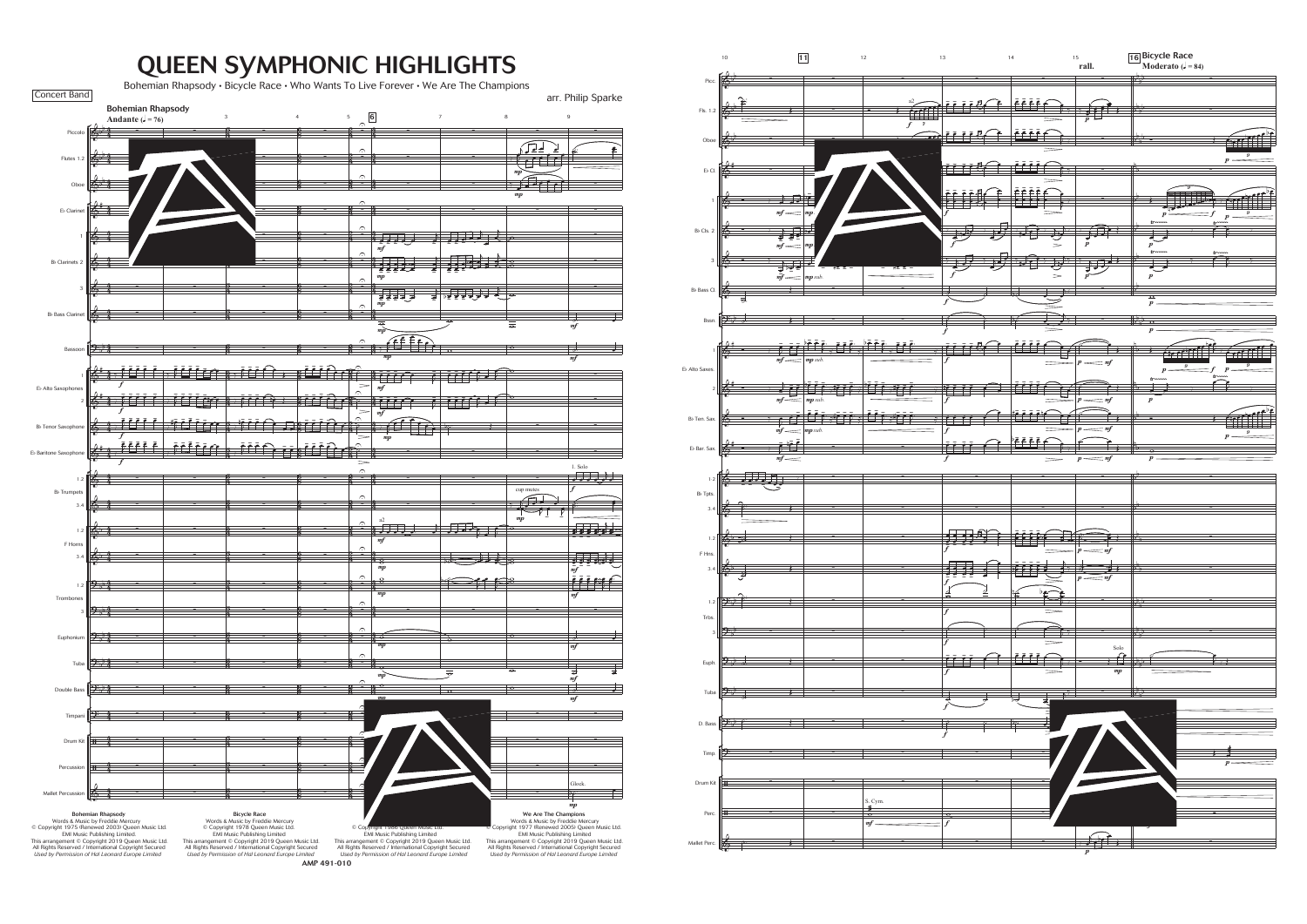



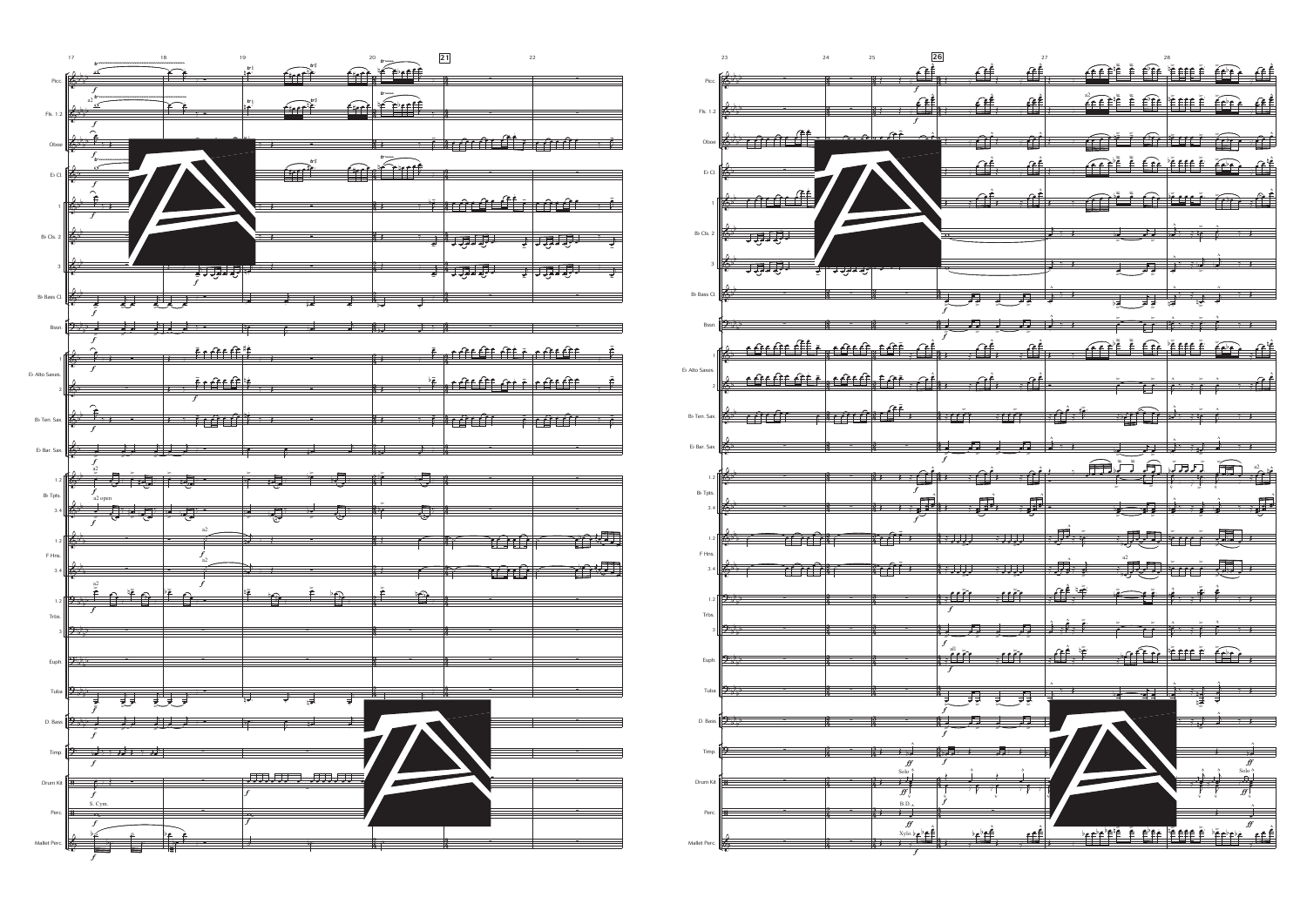

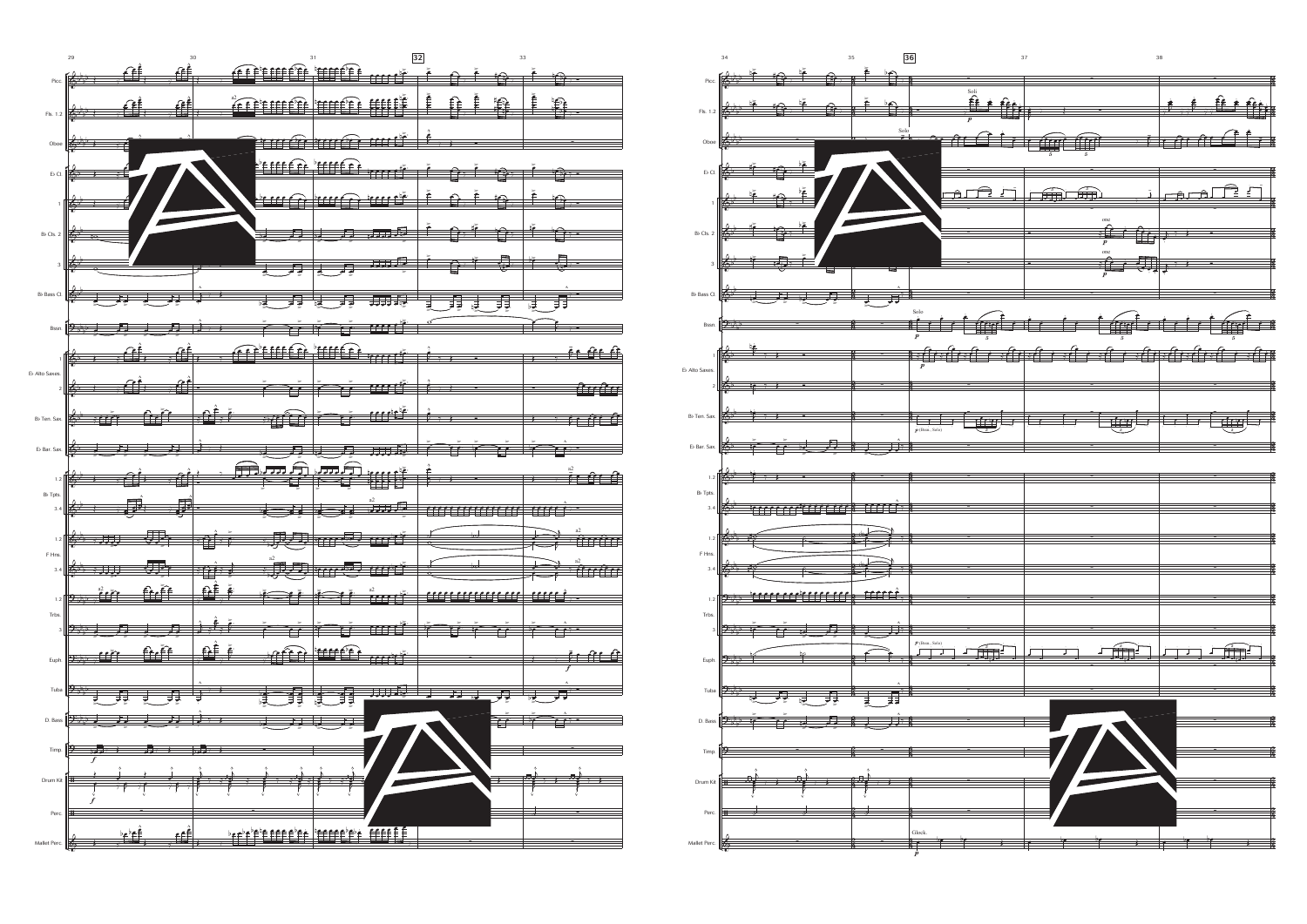

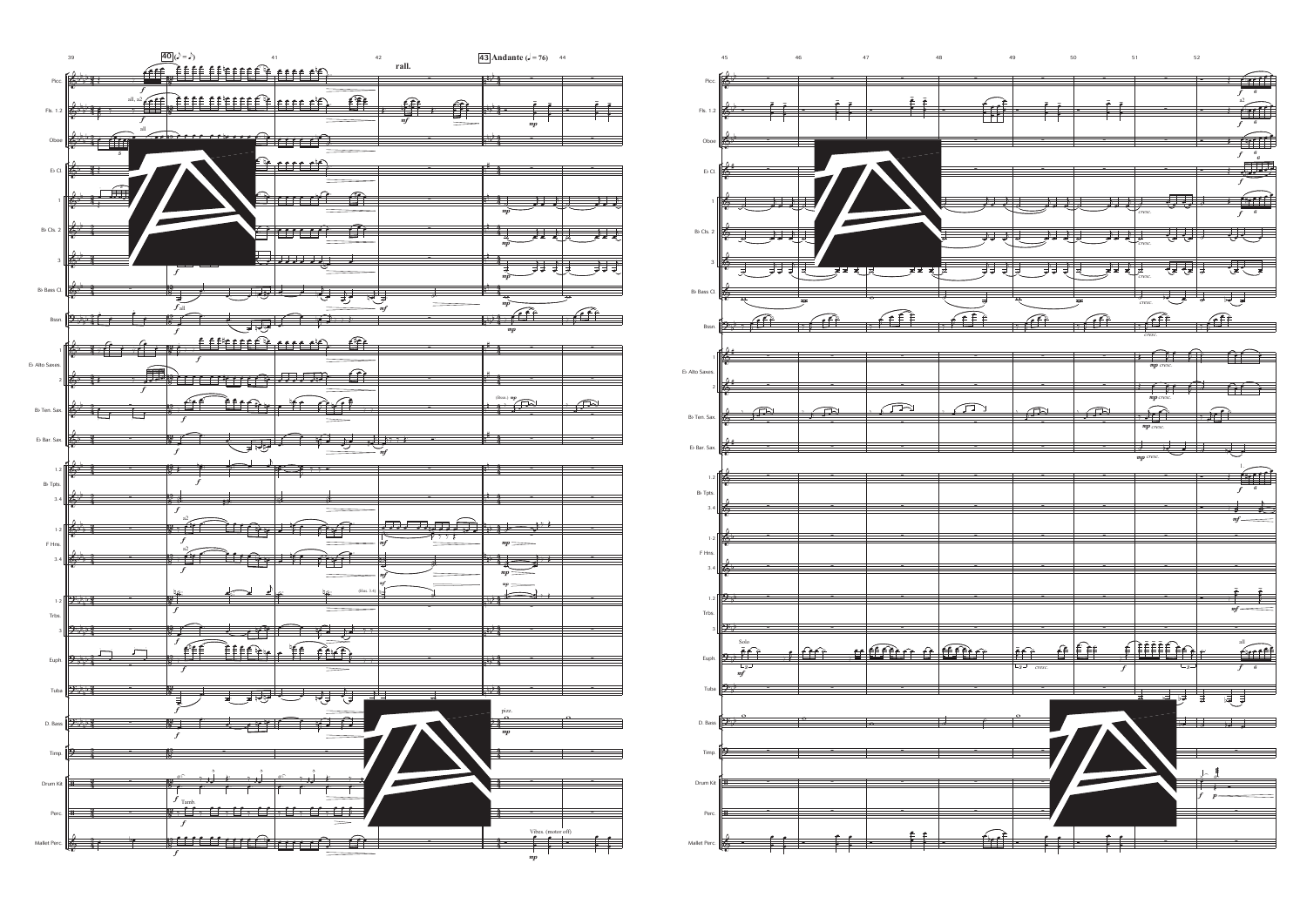

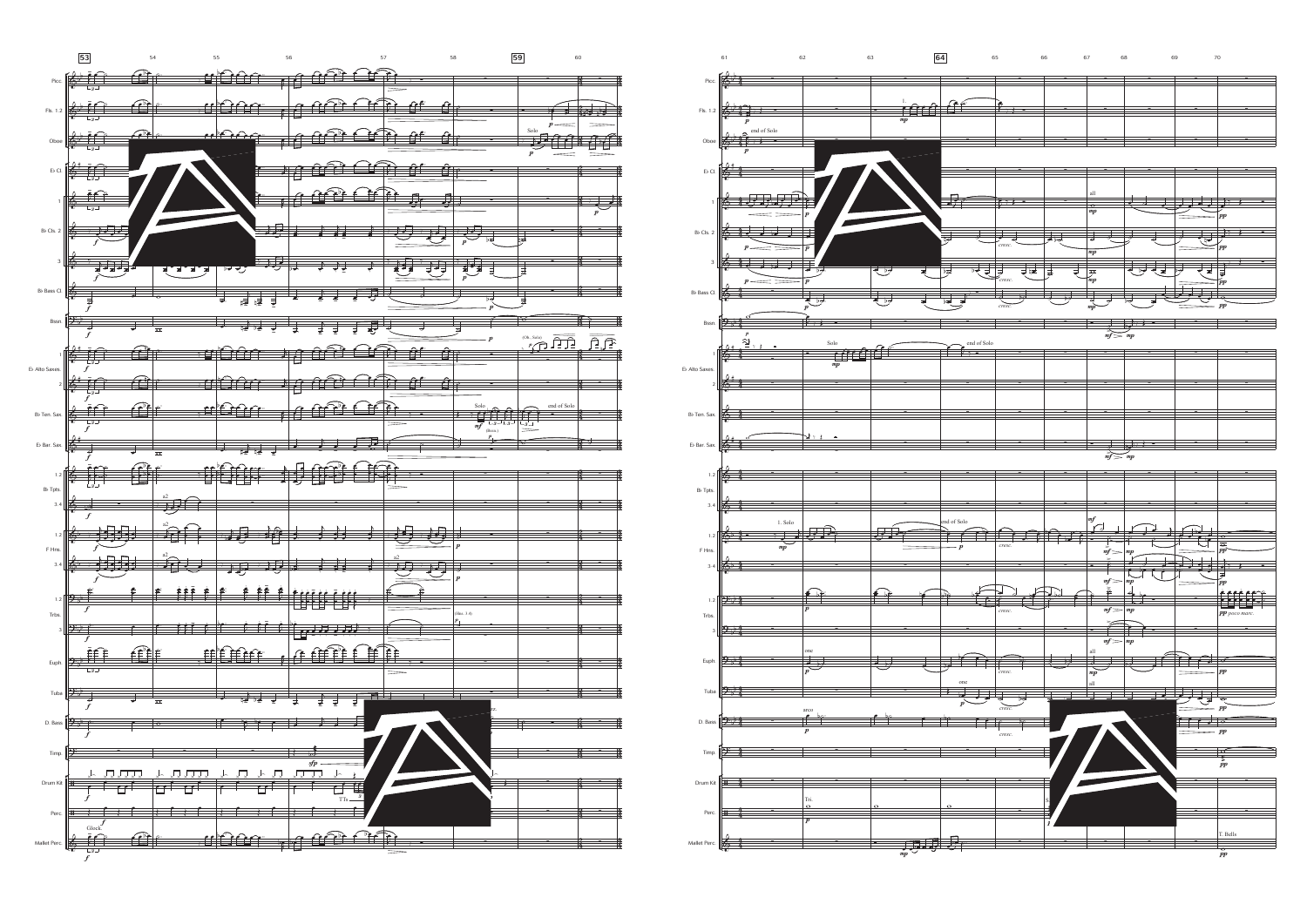

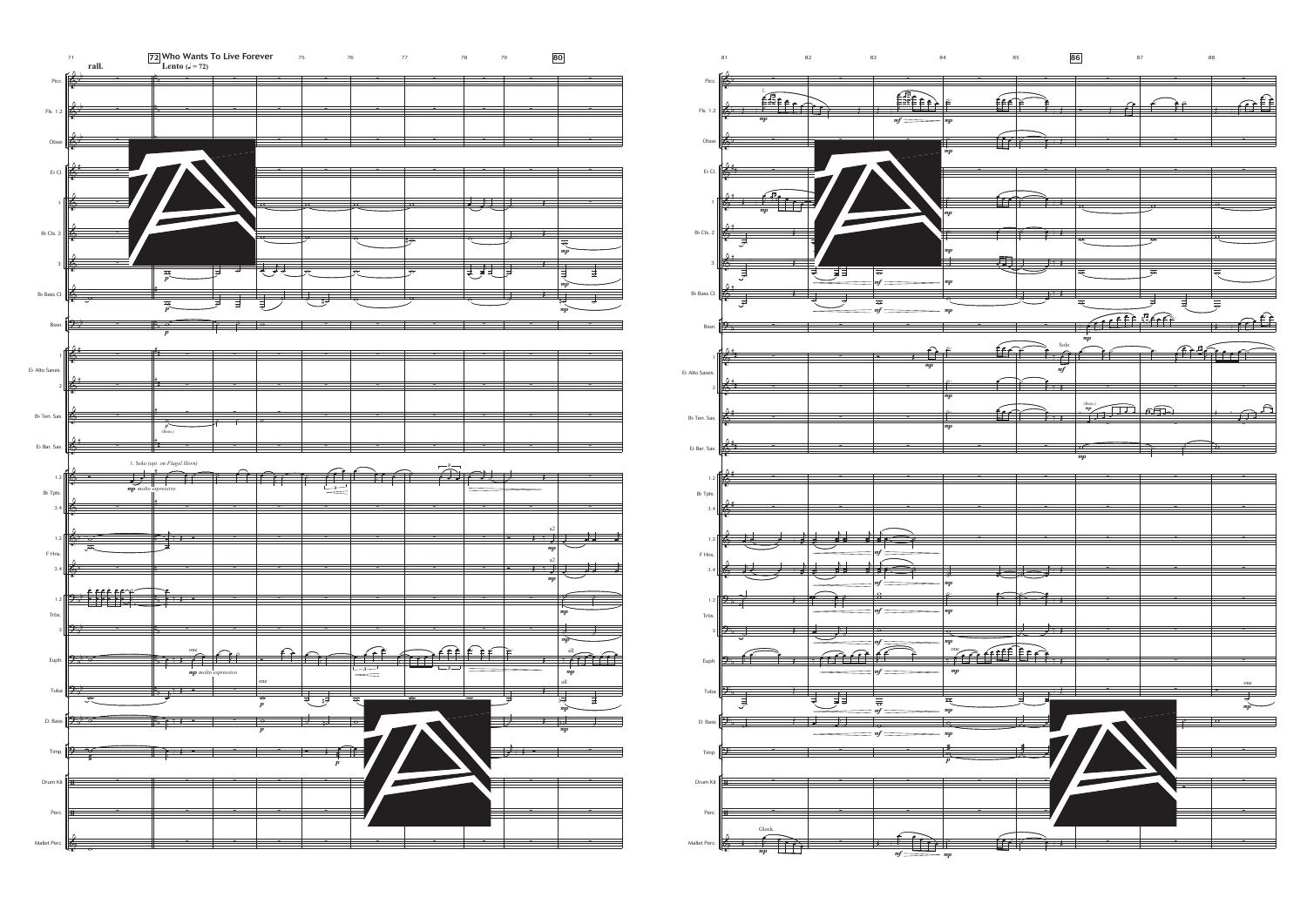

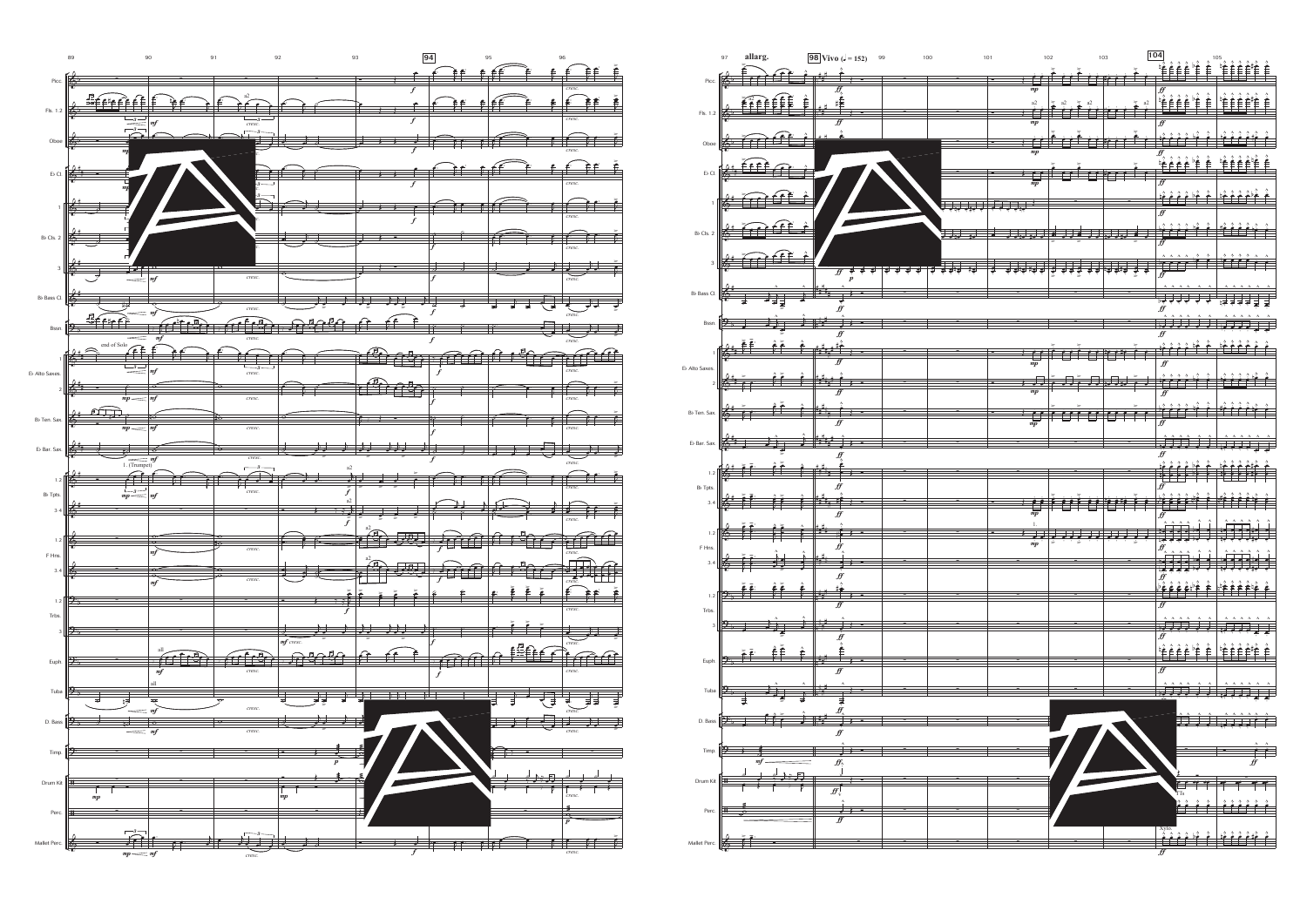

| allarg.<br><b>98</b> Vivo $(1 - 152)$<br>97<br>$\,99$<br>100            | $101$<br>$102\,$                                                | 104<br>103                                                                                                                                                                                                                                                                                                                                                                                                                                                                                    |
|-------------------------------------------------------------------------|-----------------------------------------------------------------|-----------------------------------------------------------------------------------------------------------------------------------------------------------------------------------------------------------------------------------------------------------------------------------------------------------------------------------------------------------------------------------------------------------------------------------------------------------------------------------------------|
| 6                                                                       |                                                                 | . <sup>105</sup><br>- 第666000<br>È<br>Ě<br>ĖĖ                                                                                                                                                                                                                                                                                                                                                                                                                                                 |
| IJ<br>虐<br>Ê                                                            | mp<br>a2<br>a2<br>a2                                            | ∯<br>Ê<br>锥鲑锥<br><u>₩ÊÊÊ⊯</u><br>Ė<br>$\frac{a^2}{2}$                                                                                                                                                                                                                                                                                                                                                                                                                                         |
| Э<br>Ą                                                                  | ÷.<br>ż.<br>×<br>$_{\scriptstyle mp}$                           |                                                                                                                                                                                                                                                                                                                                                                                                                                                                                               |
|                                                                         | ŧ<br>mp                                                         | ff                                                                                                                                                                                                                                                                                                                                                                                                                                                                                            |
|                                                                         | ≁<br>≠                                                          | $\hat{\epsilon}$<br>憧<br><u>\¥êêê¥</u><br>₩ÈÈÈ<br>£<br>خوانم                                                                                                                                                                                                                                                                                                                                                                                                                                  |
|                                                                         | $\overline{mp}$<br>ا بر <del>ر بر بر بر ب</del> ر               | ℋ<br>$\frac{1}{2}$<br><del>vî ji ji</del><br>A<br>غغغ                                                                                                                                                                                                                                                                                                                                                                                                                                         |
|                                                                         |                                                                 | $\overline{f}$<br>ثثث<br>€<br>≠<br>Ě۲<br>≢                                                                                                                                                                                                                                                                                                                                                                                                                                                    |
| কি                                                                      | £.,<br>Л., Л.,<br>فاراد<br>귵                                    | . <i>.</i><br>≢<br>$\overline{\boldsymbol{\theta}}$                                                                                                                                                                                                                                                                                                                                                                                                                                           |
| ∙<br>- इंग्ल<br>$\overline{f}$<br>$\boldsymbol{p}$                      | $\overline{\phantom{a}}$<br>.<br>रुद्दे रुद्दे रुद्रे<br>₹<br>₹ | ₹<br>폏<br>Ĥ                                                                                                                                                                                                                                                                                                                                                                                                                                                                                   |
| ⊕                                                                       |                                                                 | ₹<br>,ਡੋਡੋਡੋਡੋ<br>₹                                                                                                                                                                                                                                                                                                                                                                                                                                                                           |
| ġ                                                                       |                                                                 | Íf<br>, <i>.</i><br>*****                                                                                                                                                                                                                                                                                                                                                                                                                                                                     |
| İf                                                                      | ė<br>▰<br>₽<br>$\overline{\phantom{a}}$<br>ė.                   | Íf<br>مُد<br>←<br>∓<br>∓<br>۰<br>≠<br>متم<br>≠                                                                                                                                                                                                                                                                                                                                                                                                                                                |
|                                                                         | $\overline{mp}$<br>ز ر                                          | ∯                                                                                                                                                                                                                                                                                                                                                                                                                                                                                             |
| ∯                                                                       | ر ر<br>mp                                                       | ----<br>ᅩ<br>ff                                                                                                                                                                                                                                                                                                                                                                                                                                                                               |
| ⊐<br>ta,<br>∯                                                           | $\prod_{m p}$<br>←←                                             | r r r<br>∯                                                                                                                                                                                                                                                                                                                                                                                                                                                                                    |
| ₩<br>6<br>Ĵ                                                             |                                                                 | . <i>.</i><br>ا ہے کہ ا<br>Ĵf                                                                                                                                                                                                                                                                                                                                                                                                                                                                 |
|                                                                         |                                                                 | Ħ<br>Ħ                                                                                                                                                                                                                                                                                                                                                                                                                                                                                        |
| ∯                                                                       | $\mathbf{f}$<br>≠≠<br>۴ř                                        | ¥ ≰ ≸<br>FF F                                                                                                                                                                                                                                                                                                                                                                                                                                                                                 |
| ∯                                                                       |                                                                 | Ĥ<br>┹┵┙<br><u>tel el el el t</u> e<br>→                                                                                                                                                                                                                                                                                                                                                                                                                                                      |
| ff                                                                      | 戸<br>ŋ,<br>$\dot{m}p$                                           | ⊟<br>jf                                                                                                                                                                                                                                                                                                                                                                                                                                                                                       |
| ⇉<br>€<br>$f\hspace{-0.8mm}f$                                           |                                                                 | Ĵf                                                                                                                                                                                                                                                                                                                                                                                                                                                                                            |
| žê<br>g.<br>£<br>$f\hspace{-0.1cm}f$                                    |                                                                 | ê<br>ê<br>$\frac{2}{5}$<br><u>n î î î î î</u><br>s<br>f f                                                                                                                                                                                                                                                                                                                                                                                                                                     |
| 纭<br>⇉                                                                  |                                                                 | <u>, , , ,</u><br>工工                                                                                                                                                                                                                                                                                                                                                                                                                                                                          |
| ₩<br>ê<br>è<br>ê<br>ê<br>šΡ                                             |                                                                 | Ġ<br>$\begin{picture}(20,20)(-0,0) \put(0,0){\vector(0,1){10}} \put(15,0){\vector(0,1){10}} \put(15,0){\vector(0,1){10}} \put(15,0){\vector(0,1){10}} \put(15,0){\vector(0,1){10}} \put(15,0){\vector(0,1){10}} \put(15,0){\vector(0,1){10}} \put(15,0){\vector(0,1){10}} \put(15,0){\vector(0,1){10}} \put(15,0){\vector(0,1){10}} \put(15,0){\vector(0,1){10}} \put(15,0$<br>ra an an Aonamacha an Aonamacha an an Aonamara an am an an Aonamara an an Aonamar an Aonamar an Aonamar an Aon |
| ≃<br>ジッ<br>⋍<br>$\mathbb{R}^n$<br>≠<br>$f\hspace{-0.1cm}f$              |                                                                 | - -<br>∸<br>÷<br>Ŧ<br>$f\hspace{-0.1cm}f$                                                                                                                                                                                                                                                                                                                                                                                                                                                     |
| 季<br>k.<br>孛<br>₹                                                       |                                                                 | الريجتيان ثثثت                                                                                                                                                                                                                                                                                                                                                                                                                                                                                |
| ġ,<br>₽ê<br>35<br>2.<br>$\overline{\phantom{a}}$<br>$f\hspace{-0.1cm}f$ |                                                                 | ר זה הדה, וגל ל                                                                                                                                                                                                                                                                                                                                                                                                                                                                               |
| ≢<br>×<br>₹                                                             |                                                                 | €<br>×<br>$\bar{\bar{f}}$                                                                                                                                                                                                                                                                                                                                                                                                                                                                     |
| $f\!f$<br>mf<br>$\cdot$ .<br>⊞⊟                                         |                                                                 |                                                                                                                                                                                                                                                                                                                                                                                                                                                                                               |
| $\overline{f}$                                                          |                                                                 | TTs                                                                                                                                                                                                                                                                                                                                                                                                                                                                                           |
| ┹<br>×<br>⊪<br>$\overline{f}$                                           |                                                                 |                                                                                                                                                                                                                                                                                                                                                                                                                                                                                               |
| ॻ॔<br>$\sim$<br>Mallet Perc.                                            |                                                                 | $\frac{1}{2}$<br>ا ئىنىئ<br>$\overline{f}$                                                                                                                                                                                                                                                                                                                                                                                                                                                    |